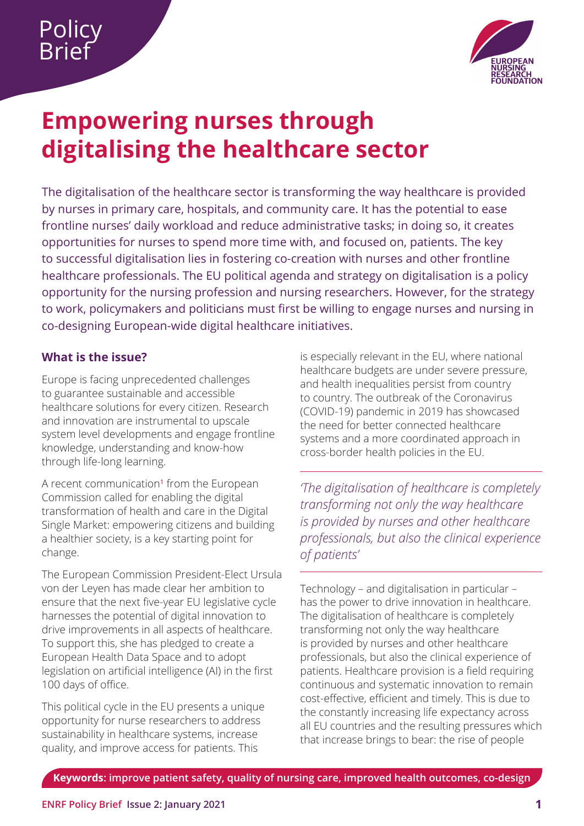

# <span id="page-0-0"></span>**Empowering nurses through digitalising the healthcare sector**

The digitalisation of the healthcare sector is transforming the way healthcare is provided by nurses in primary care, hospitals, and community care. It has the potential to ease frontline nurses' daily workload and reduce administrative tasks; in doing so, it creates opportunities for nurses to spend more time with, and focused on, patients. The key to successful digitalisation lies in fostering co-creation with nurses and other frontline healthcare professionals. The EU political agenda and strategy on digitalisation is a policy opportunity for the nursing profession and nursing researchers. However, for the strategy to work, policymakers and politicians must first be willing to engage nurses and nursing in co-designing European-wide digital healthcare initiatives.

# **What is the issue?**

Europe is facing unprecedented challenges to guarantee sustainable and accessible healthcare solutions for every citizen. Research and innovation are instrumental to upscale system level developments and engage frontline knowledge, understanding and know-how through life-long learning.

A recent communication<sup>[1](#page-6-0)</sup> from the European Commission called for enabling the digital transformation of health and care in the Digital Single Market: empowering citizens and building a healthier society, is a key starting point for change.

The European Commission President-Elect Ursula von der Leyen has made clear her ambition to ensure that the next five-year EU legislative cycle harnesses the potential of digital innovation to drive improvements in all aspects of healthcare. To support this, she has pledged to create a European Health Data Space and to adopt legislation on artificial intelligence (AI) in the first 100 days of office.

This political cycle in the EU presents a unique opportunity for nurse researchers to address sustainability in healthcare systems, increase quality, and improve access for patients. This

is especially relevant in the EU, where national healthcare budgets are under severe pressure, and health inequalities persist from country to country. The outbreak of the Coronavirus (COVID-19) pandemic in 2019 has showcased the need for better connected healthcare systems and a more coordinated approach in cross-border health policies in the EU.

*'The digitalisation of healthcare is completely transforming not only the way healthcare is provided by nurses and other healthcare professionals, but also the clinical experience of patients'*

Technology – and digitalisation in particular – has the power to drive innovation in healthcare. The digitalisation of healthcare is completely transforming not only the way healthcare is provided by nurses and other healthcare professionals, but also the clinical experience of patients. Healthcare provision is a field requiring continuous and systematic innovation to remain cost-effective, efficient and timely. This is due to the constantly increasing life expectancy across all EU countries and the resulting pressures which that increase brings to bear: the rise of people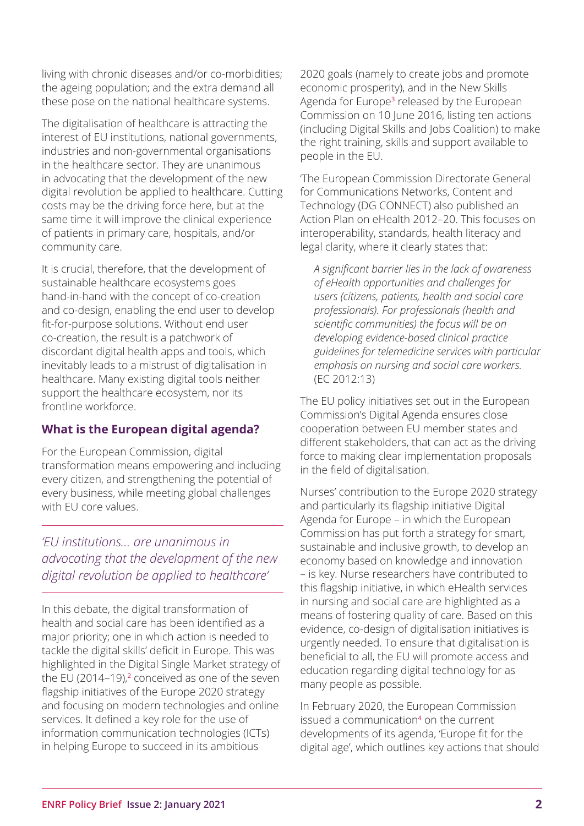<span id="page-1-0"></span>living with chronic diseases and/or co-morbidities; the ageing population; and the extra demand all these pose on the national healthcare systems.

The digitalisation of healthcare is attracting the interest of EU institutions, national governments, industries and non-governmental organisations in the healthcare sector. They are unanimous in advocating that the development of the new digital revolution be applied to healthcare. Cutting costs may be the driving force here, but at the same time it will improve the clinical experience of patients in primary care, hospitals, and/or community care.

It is crucial, therefore, that the development of sustainable healthcare ecosystems goes hand-in-hand with the concept of co-creation and co-design, enabling the end user to develop fit-for-purpose solutions. Without end user co-creation, the result is a patchwork of discordant digital health apps and tools, which inevitably leads to a mistrust of digitalisation in healthcare. Many existing digital tools neither support the healthcare ecosystem, nor its frontline workforce.

# **What is the European digital agenda?**

For the European Commission, digital transformation means empowering and including every citizen, and strengthening the potential of every business, while meeting global challenges with EU core values.

*'EU institutions… are unanimous in advocating that the development of the new digital revolution be applied to healthcare'*

In this debate, the digital transformation of health and social care has been identified as a major priority; one in which action is needed to tackle the digital skills' deficit in Europe. This was highlighted in the Digital Single Market strategy of the EU ([2](#page-6-0)014–19), $2$  conceived as one of the seven flagship initiatives of the Europe 2020 strategy and focusing on modern technologies and online services. It defined a key role for the use of information communication technologies (ICTs) in helping Europe to succeed in its ambitious

2020 goals (namely to create jobs and promote economic prosperity), and in the New Skills Agenda for Europe<sup>[3](#page-6-0)</sup> released by the European Commission on 10 June 2016, listing ten actions (including Digital Skills and Jobs Coalition) to make the right training, skills and support available to people in the EU.

'The European Commission Directorate General for Communications Networks, Content and Technology (DG CONNECT) also published an Action Plan on eHealth 2012–20. This focuses on interoperability, standards, health literacy and legal clarity, where it clearly states that:

 *A significant barrier lies in the lack of awareness of eHealth opportunities and challenges for users (citizens, patients, health and social care professionals). For professionals (health and scientific communities) the focus will be on developing evidence-based clinical practice guidelines for telemedicine services with particular emphasis on nursing and social care workers.*  (EC 2012:13)

The EU policy initiatives set out in the European Commission's Digital Agenda ensures close cooperation between EU member states and different stakeholders, that can act as the driving force to making clear implementation proposals in the field of digitalisation.

Nurses' contribution to the Europe 2020 strategy and particularly its flagship initiative Digital Agenda for Europe – in which the European Commission has put forth a strategy for smart, sustainable and inclusive growth, to develop an economy based on knowledge and innovation – is key. Nurse researchers have contributed to this flagship initiative, in which eHealth services in nursing and social care are highlighted as a means of fostering quality of care. Based on this evidence, co-design of digitalisation initiatives is urgently needed. To ensure that digitalisation is beneficial to all, the EU will promote access and education regarding digital technology for as many people as possible.

In February 2020, the European Commission issued a communication<sup>[4](#page-6-0)</sup> on the current developments of its agenda, 'Europe fit for the digital age', which outlines key actions that should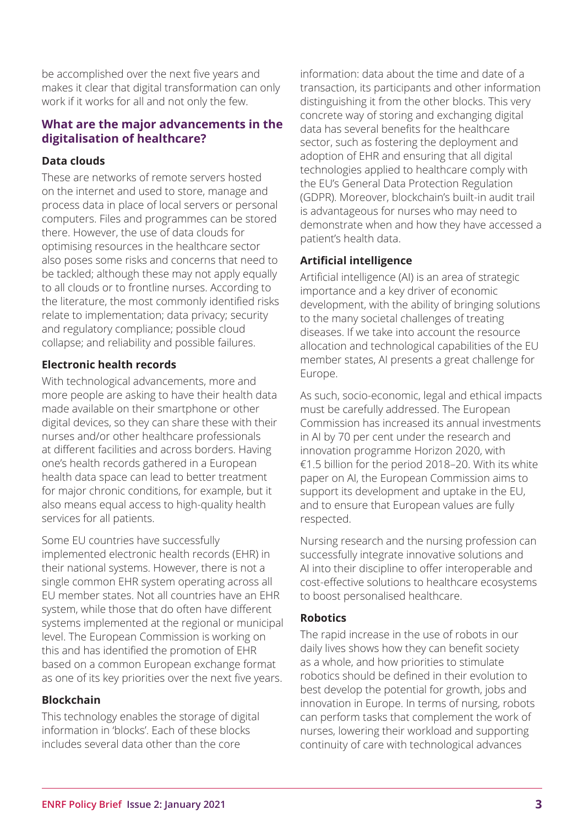be accomplished over the next five years and makes it clear that digital transformation can only work if it works for all and not only the few.

#### **What are the major advancements in the digitalisation of healthcare?**

### **Data clouds**

These are networks of remote servers hosted on the internet and used to store, manage and process data in place of local servers or personal computers. Files and programmes can be stored there. However, the use of data clouds for optimising resources in the healthcare sector also poses some risks and concerns that need to be tackled; although these may not apply equally to all clouds or to frontline nurses. According to the literature, the most commonly identified risks relate to implementation; data privacy; security and regulatory compliance; possible cloud collapse; and reliability and possible failures.

# **Electronic health records**

With technological advancements, more and more people are asking to have their health data made available on their smartphone or other digital devices, so they can share these with their nurses and/or other healthcare professionals at different facilities and across borders. Having one's health records gathered in a European health data space can lead to better treatment for major chronic conditions, for example, but it also means equal access to high-quality health services for all patients.

Some EU countries have successfully implemented electronic health records (EHR) in their national systems. However, there is not a single common EHR system operating across all EU member states. Not all countries have an EHR system, while those that do often have different systems implemented at the regional or municipal level. The European Commission is working on this and has identified the promotion of EHR based on a common European exchange format as one of its key priorities over the next five years.

#### **Blockchain**

This technology enables the storage of digital information in 'blocks'. Each of these blocks includes several data other than the core

information: data about the time and date of a transaction, its participants and other information distinguishing it from the other blocks. This very concrete way of storing and exchanging digital data has several benefits for the healthcare sector, such as fostering the deployment and adoption of EHR and ensuring that all digital technologies applied to healthcare comply with the EU's General Data Protection Regulation (GDPR). Moreover, blockchain's built-in audit trail is advantageous for nurses who may need to demonstrate when and how they have accessed a patient's health data.

# **Artificial intelligence**

Artificial intelligence (AI) is an area of strategic importance and a key driver of economic development, with the ability of bringing solutions to the many societal challenges of treating diseases. If we take into account the resource allocation and technological capabilities of the EU member states, AI presents a great challenge for Europe.

As such, socio-economic, legal and ethical impacts must be carefully addressed. The European Commission has increased its annual investments in AI by 70 per cent under the research and innovation programme Horizon 2020, with €1.5 billion for the period 2018–20. With its white paper on AI, the European Commission aims to support its development and uptake in the EU, and to ensure that European values are fully respected.

Nursing research and the nursing profession can successfully integrate innovative solutions and AI into their discipline to offer interoperable and cost-effective solutions to healthcare ecosystems to boost personalised healthcare.

# **Robotics**

The rapid increase in the use of robots in our daily lives shows how they can benefit society as a whole, and how priorities to stimulate robotics should be defined in their evolution to best develop the potential for growth, jobs and innovation in Europe. In terms of nursing, robots can perform tasks that complement the work of nurses, lowering their workload and supporting continuity of care with technological advances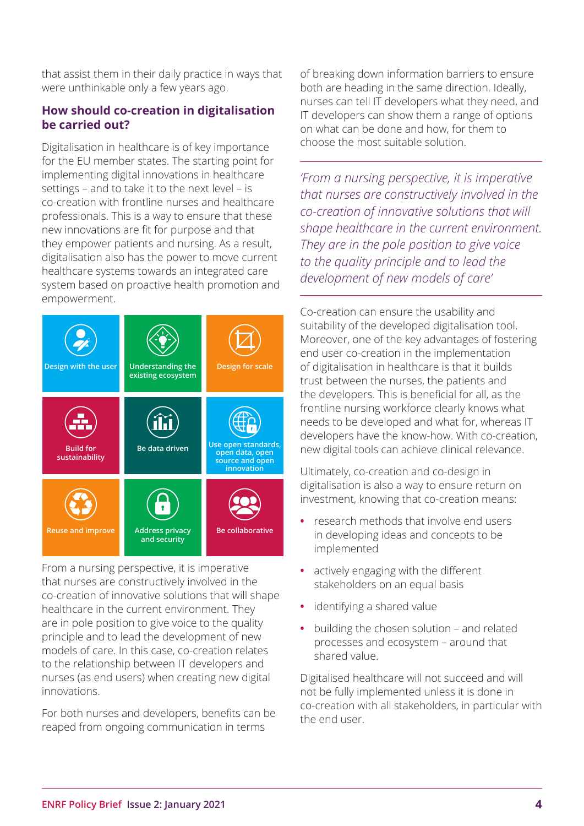that assist them in their daily practice in ways that were unthinkable only a few years ago.

# **How should co-creation in digitalisation be carried out?**

Digitalisation in healthcare is of key importance for the EU member states. The starting point for implementing digital innovations in healthcare settings – and to take it to the next level – is co-creation with frontline nurses and healthcare professionals. This is a way to ensure that these new innovations are fit for purpose and that they empower patients and nursing. As a result, digitalisation also has the power to move current healthcare systems towards an integrated care system based on proactive health promotion and empowerment.



From a nursing perspective, it is imperative that nurses are constructively involved in the co-creation of innovative solutions that will shape healthcare in the current environment. They are in pole position to give voice to the quality principle and to lead the development of new models of care. In this case, co-creation relates to the relationship between IT developers and nurses (as end users) when creating new digital innovations.

For both nurses and developers, benefits can be reaped from ongoing communication in terms

of breaking down information barriers to ensure both are heading in the same direction. Ideally, nurses can tell IT developers what they need, and IT developers can show them a range of options on what can be done and how, for them to choose the most suitable solution.

*'From a nursing perspective, it is imperative that nurses are constructively involved in the co-creation of innovative solutions that will shape healthcare in the current environment. They are in the pole position to give voice to the quality principle and to lead the development of new models of care'*

Co-creation can ensure the usability and suitability of the developed digitalisation tool. Moreover, one of the key advantages of fostering end user co-creation in the implementation of digitalisation in healthcare is that it builds trust between the nurses, the patients and the developers. This is beneficial for all, as the frontline nursing workforce clearly knows what needs to be developed and what for, whereas IT developers have the know-how. With co-creation, new digital tools can achieve clinical relevance.

Ultimately, co-creation and co-design in digitalisation is also a way to ensure return on investment, knowing that co-creation means:

- **•** research methods that involve end users in developing ideas and concepts to be implemented
- **•** actively engaging with the different stakeholders on an equal basis
- **•** identifying a shared value
- **•** building the chosen solution and related processes and ecosystem – around that shared value.

Digitalised healthcare will not succeed and will not be fully implemented unless it is done in co-creation with all stakeholders, in particular with the end user.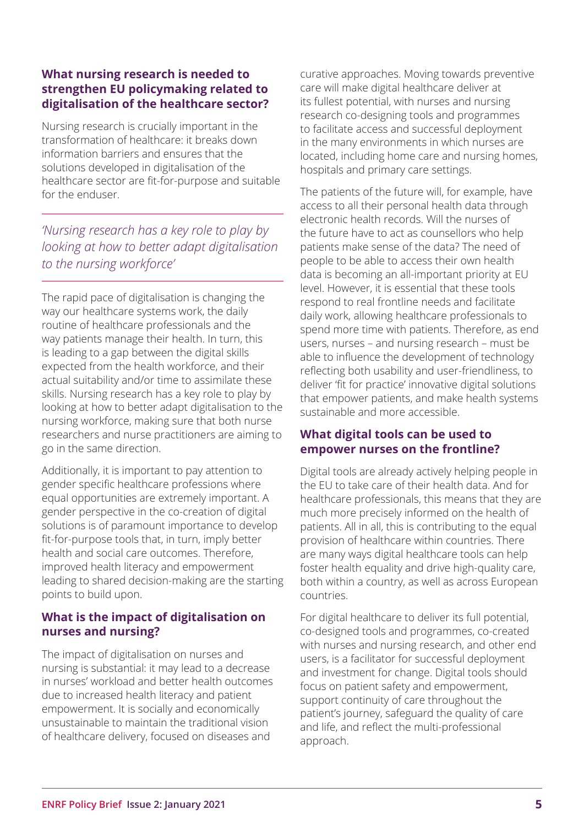# **What nursing research is needed to strengthen EU policymaking related to digitalisation of the healthcare sector?**

Nursing research is crucially important in the transformation of healthcare: it breaks down information barriers and ensures that the solutions developed in digitalisation of the healthcare sector are fit-for-purpose and suitable for the enduser.

*'Nursing research has a key role to play by looking at how to better adapt digitalisation to the nursing workforce'*

The rapid pace of digitalisation is changing the way our healthcare systems work, the daily routine of healthcare professionals and the way patients manage their health. In turn, this is leading to a gap between the digital skills expected from the health workforce, and their actual suitability and/or time to assimilate these skills. Nursing research has a key role to play by looking at how to better adapt digitalisation to the nursing workforce, making sure that both nurse researchers and nurse practitioners are aiming to go in the same direction.

Additionally, it is important to pay attention to gender specific healthcare professions where equal opportunities are extremely important. A gender perspective in the co-creation of digital solutions is of paramount importance to develop fit-for-purpose tools that, in turn, imply better health and social care outcomes. Therefore, improved health literacy and empowerment leading to shared decision-making are the starting points to build upon.

# **What is the impact of digitalisation on nurses and nursing?**

The impact of digitalisation on nurses and nursing is substantial: it may lead to a decrease in nurses' workload and better health outcomes due to increased health literacy and patient empowerment. It is socially and economically unsustainable to maintain the traditional vision of healthcare delivery, focused on diseases and

curative approaches. Moving towards preventive care will make digital healthcare deliver at its fullest potential, with nurses and nursing research co-designing tools and programmes to facilitate access and successful deployment in the many environments in which nurses are located, including home care and nursing homes, hospitals and primary care settings.

The patients of the future will, for example, have access to all their personal health data through electronic health records. Will the nurses of the future have to act as counsellors who help patients make sense of the data? The need of people to be able to access their own health data is becoming an all-important priority at EU level. However, it is essential that these tools respond to real frontline needs and facilitate daily work, allowing healthcare professionals to spend more time with patients. Therefore, as end users, nurses – and nursing research – must be able to influence the development of technology reflecting both usability and user-friendliness, to deliver 'fit for practice' innovative digital solutions that empower patients, and make health systems sustainable and more accessible.

#### **What digital tools can be used to empower nurses on the frontline?**

Digital tools are already actively helping people in the EU to take care of their health data. And for healthcare professionals, this means that they are much more precisely informed on the health of patients. All in all, this is contributing to the equal provision of healthcare within countries. There are many ways digital healthcare tools can help foster health equality and drive high-quality care, both within a country, as well as across European countries.

For digital healthcare to deliver its full potential, co-designed tools and programmes, co-created with nurses and nursing research, and other end users, is a facilitator for successful deployment and investment for change. Digital tools should focus on patient safety and empowerment, support continuity of care throughout the patient's journey, safeguard the quality of care and life, and reflect the multi-professional approach.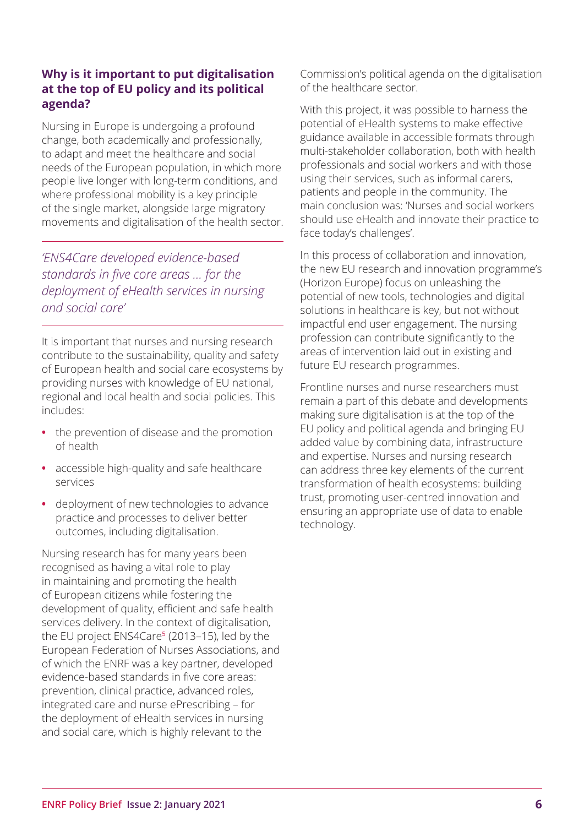# <span id="page-5-0"></span>**Why is it important to put digitalisation at the top of EU policy and its political agenda?**

Nursing in Europe is undergoing a profound change, both academically and professionally, to adapt and meet the healthcare and social needs of the European population, in which more people live longer with long-term conditions, and where professional mobility is a key principle of the single market, alongside large migratory movements and digitalisation of the health sector.

*'ENS4Care developed evidence-based standards in five core areas ... for the deployment of eHealth services in nursing and social care'*

It is important that nurses and nursing research contribute to the sustainability, quality and safety of European health and social care ecosystems by providing nurses with knowledge of EU national, regional and local health and social policies. This includes:

- **•** the prevention of disease and the promotion of health
- **•** accessible high-quality and safe healthcare services
- **•** deployment of new technologies to advance practice and processes to deliver better outcomes, including digitalisation.

Nursing research has for many years been recognised as having a vital role to play in maintaining and promoting the health of European citizens while fostering the development of quality, efficient and safe health services delivery. In the context of digitalisation, the EU project ENS4Care<sup>[5](#page-6-0)</sup> (2013-15), led by the European Federation of Nurses Associations, and of which the ENRF was a key partner, developed evidence-based standards in five core areas: prevention, clinical practice, advanced roles, integrated care and nurse ePrescribing – for the deployment of eHealth services in nursing and social care, which is highly relevant to the

Commission's political agenda on the digitalisation of the healthcare sector.

With this project, it was possible to harness the potential of eHealth systems to make effective guidance available in accessible formats through multi-stakeholder collaboration, both with health professionals and social workers and with those using their services, such as informal carers, patients and people in the community. The main conclusion was: 'Nurses and social workers should use eHealth and innovate their practice to face today's challenges'.

In this process of collaboration and innovation, the new EU research and innovation programme's (Horizon Europe) focus on unleashing the potential of new tools, technologies and digital solutions in healthcare is key, but not without impactful end user engagement. The nursing profession can contribute significantly to the areas of intervention laid out in existing and future EU research programmes.

Frontline nurses and nurse researchers must remain a part of this debate and developments making sure digitalisation is at the top of the EU policy and political agenda and bringing EU added value by combining data, infrastructure and expertise. Nurses and nursing research can address three key elements of the current transformation of health ecosystems: building trust, promoting user-centred innovation and ensuring an appropriate use of data to enable technology.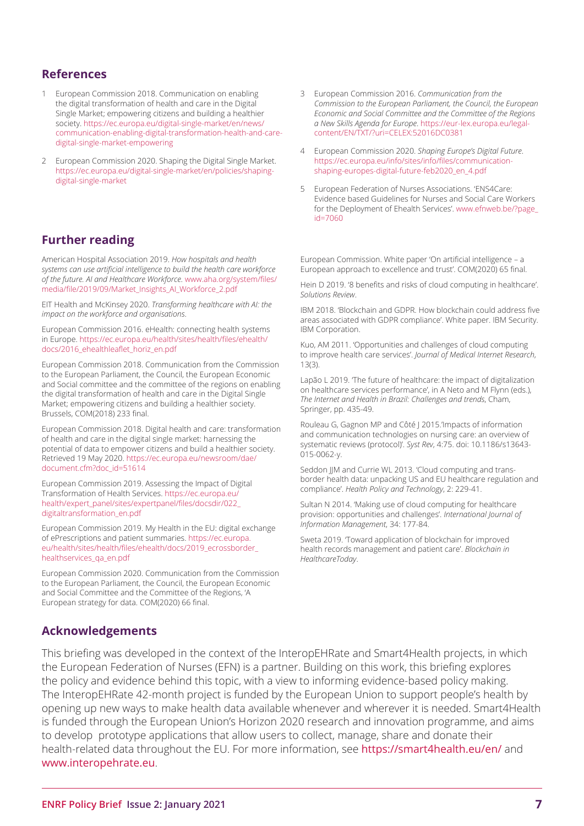#### <span id="page-6-0"></span>**References**

- [1](#page-0-0) European Commission 2018. Communication on enabling the digital transformation of health and care in the Digital Single Market; empowering citizens and building a healthier society. [https://ec.europa.eu/digital-single-market/en/news/](https://ec.europa.eu/digital-single-market/en/news/communication-enabling-digital-transformation-health-and-care-digital-single-market-empowering) [communication-enabling-digital-transformation-health-and-care](https://ec.europa.eu/digital-single-market/en/news/communication-enabling-digital-transformation-health-and-care-digital-single-market-empowering)[digital-single-market-empowering](https://ec.europa.eu/digital-single-market/en/news/communication-enabling-digital-transformation-health-and-care-digital-single-market-empowering)
- [2](#page-1-0) European Commission 2020. Shaping the Digital Single Market. [https://ec.europa.eu/digital-single-market/en/policies/shaping](https://ec.europa.eu/digital-single-market/en/policies/shaping-digital-single-market)[digital-single-market](https://ec.europa.eu/digital-single-market/en/policies/shaping-digital-single-market)

#### **Further reading**

American Hospital Association 2019. *How hospitals and health systems can use artificial intelligence to build the health care workforce of the future. AI and Healthcare Workforce*. [www.aha.org/system/files/](http://www.aha.org/system/files/media/file/2019/09/Market_Insights_AI_Workforce_2.pdf) [media/file/2019/09/Market\\_Insights\\_AI\\_Workforce\\_2.pdf](http://www.aha.org/system/files/media/file/2019/09/Market_Insights_AI_Workforce_2.pdf)

EIT Health and McKinsey 2020. *Transforming healthcare with AI: the impact on the workforce and organisations*.

European Commission 2016. eHealth: connecting health systems in Europe. [https://ec.europa.eu/health/sites/health/files/ehealth/](https://ec.europa.eu/health/sites/health/files/ehealth/docs/2016_ehealthleaflet_horiz_en.pdf) [docs/2016\\_ehealthleaflet\\_horiz\\_en.pdf](https://ec.europa.eu/health/sites/health/files/ehealth/docs/2016_ehealthleaflet_horiz_en.pdf)

European Commission 2018. Communication from the Commission to the European Parliament, the Council, the European Economic and Social committee and the committee of the regions on enabling the digital transformation of health and care in the Digital Single Market; empowering citizens and building a healthier society. Brussels, COM(2018) 233 final.

European Commission 2018. Digital health and care: transformation of health and care in the digital single market: harnessing the potential of data to empower citizens and build a healthier society. Retrieved 19 May 2020. [https://ec.europa.eu/newsroom/dae/](https://ec.europa.eu/newsroom/dae/document.cfm?doc_id=51614) [document.cfm?doc\\_id=51614](https://ec.europa.eu/newsroom/dae/document.cfm?doc_id=51614)

European Commission 2019. Assessing the Impact of Digital Transformation of Health Services. [https://ec.europa.eu/](https://ec.europa.eu/health/expert_panel/sites/expertpanel/files/docsdir/022_digitaltransformation_en.pdf) [health/expert\\_panel/sites/expertpanel/files/docsdir/022\\_](https://ec.europa.eu/health/expert_panel/sites/expertpanel/files/docsdir/022_digitaltransformation_en.pdf) [digitaltransformation\\_en.pdf](https://ec.europa.eu/health/expert_panel/sites/expertpanel/files/docsdir/022_digitaltransformation_en.pdf)

European Commission 2019. My Health in the EU: digital exchange of ePrescriptions and patient summaries. [https://ec.europa.](https://ec.europa.eu/health/sites/health/files/ehealth/docs/2019_ecrossborder_healthservices_qa_en.pdf) [eu/health/sites/health/files/ehealth/docs/2019\\_ecrossborder\\_](https://ec.europa.eu/health/sites/health/files/ehealth/docs/2019_ecrossborder_healthservices_qa_en.pdf) healthservices ga\_en.pdf

European Commission 2020. Communication from the Commission to the European Parliament, the Council, the European Economic and Social Committee and the Committee of the Regions, 'A European strategy for data. COM(2020) 66 final.

- 3 European Commission 2016. *Communication from the Commission to the European Parliament, the Council, the European Economic and Social Committee and the Committee of the Regions a New Skills Agenda for Europe*. [https://eur-lex.europa.eu/legal](https://eur-lex.europa.eu/legal-content/EN/TXT/?uri=CELEX:52016DC0381)[content/EN/TXT/?uri=CELEX:52016DC0381](https://eur-lex.europa.eu/legal-content/EN/TXT/?uri=CELEX:52016DC0381)
- [4](#page-1-0) European Commission 2020. *Shaping Europe's Digital Future*. [https://ec.europa.eu/info/sites/info/files/communication](https://ec.europa.eu/info/sites/info/files/communication-shaping-europes-digital-future-feb2020_en_4.pdf)[shaping-europes-digital-future-feb2020\\_en\\_4.pdf](https://ec.europa.eu/info/sites/info/files/communication-shaping-europes-digital-future-feb2020_en_4.pdf)
- [5](#page-5-0) European Federation of Nurses Associations. 'ENS4Care: Evidence based Guidelines for Nurses and Social Care Workers for the Deployment of Ehealth Services'. [www.efnweb.be/?page\\_](http://www.efnweb.be/?page_id=7060) [id=7060](http://www.efnweb.be/?page_id=7060)

European Commission. White paper 'On artificial intelligence – a European approach to excellence and trust'. COM(2020) 65 final.

Hein D 2019. '8 benefits and risks of cloud computing in healthcare'. *Solutions Review*.

IBM 2018. 'Blockchain and GDPR. How blockchain could address five areas associated with GDPR compliance'. White paper. IBM Security. IBM Corporation.

Kuo, AM 2011. 'Opportunities and challenges of cloud computing to improve health care services'. *Journal of Medical Internet Research*, 13(3).

Lapão L 2019. The future of healthcare: the impact of digitalization on healthcare services performance', in A Neto and M Flynn (eds.), *The Internet and Health in Brazil: Challenges and trends*, Cham, Springer, pp. 435-49.

Rouleau G, Gagnon MP and Côté J 2015.'Impacts of information and communication technologies on nursing care: an overview of systematic reviews (protocol)'. *Syst Rev*, 4:75. doi: 10.1186/s13643- 015-0062-y.

Seddon JJM and Currie WL 2013. 'Cloud computing and transborder health data: unpacking US and EU healthcare regulation and compliance'. *Health Policy and Technology*, 2: 229-41.

Sultan N 2014. 'Making use of cloud computing for healthcare provision: opportunities and challenges'. *International Journal of Information Management*, 34: 177-84.

Sweta 2019. Toward application of blockchain for improved health records management and patient care'. *Blockchain in HealthcareToday*.

#### **Acknowledgements**

This briefing was developed in the context of the InteropEHRate and Smart4Health projects, in which the European Federation of Nurses (EFN) is a partner. Building on this work, this briefing explores the policy and evidence behind this topic, with a view to informing evidence-based policy making. The InteropEHRate 42-month project is funded by the European Union to support people's health by opening up new ways to make health data available whenever and wherever it is needed. Smart4Health is funded through the European Union's Horizon 2020 research and innovation programme, and aims to develop prototype applications that allow users to collect, manage, share and donate their health-related data throughout the EU. For more information, see <https://smart4health.eu/en/> and [www.interopehrate.eu](http://www.interopehrate.eu).